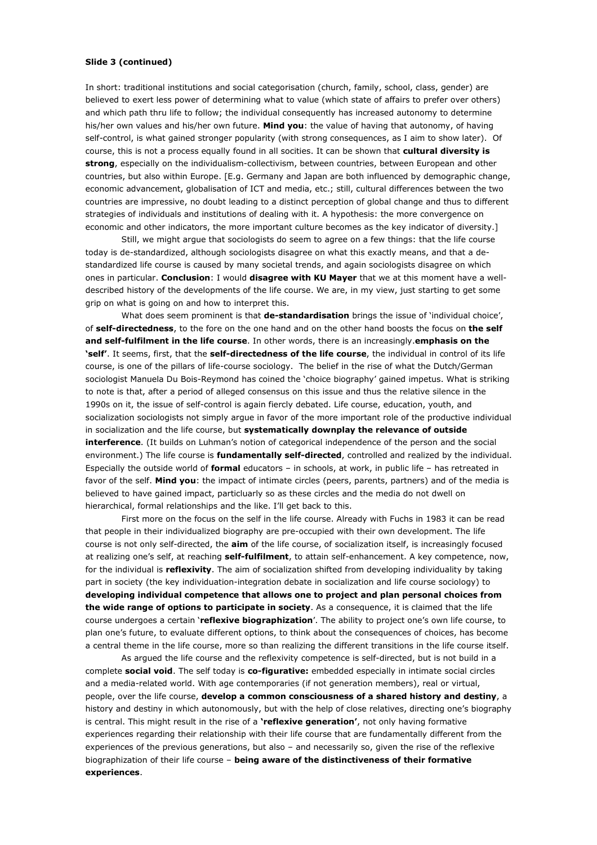# Slide 3 (continued)

In short: traditional institutions and social categorisation (church, family, school, class, gender) are believed to exert less power of determining what to value (which state of affairs to prefer over others) and which path thru life to follow; the individual consequently has increased autonomy to determine his/her own values and his/her own future. Mind you: the value of having that autonomy, of having self-control, is what gained stronger popularity (with strong consequences, as I aim to show later). Of course, this is not a process equally found in all socities. It can be shown that cultural diversity is strong, especially on the individualism-collectivism, between countries, between European and other countries, but also within Europe. [E.g. Germany and Japan are both influenced by demographic change, economic advancement, globalisation of ICT and media, etc.; still, cultural differences between the two countries are impressive, no doubt leading to a distinct perception of global change and thus to different strategies of individuals and institutions of dealing with it. A hypothesis: the more convergence on economic and other indicators, the more important culture becomes as the key indicator of diversity.]

Still, we might argue that sociologists do seem to agree on a few things; that the life course today is de-standardized, although sociologists disagree on what this exactly means, and that a destandardized life course is caused by many societal trends, and again sociologists disagree on which ones in particular. Conclusion: I would disagree with KU Mayer that we at this moment have a welldescribed history of the developments of the life course. We are, in my view, just starting to get some grip on what is going on and how to interpret this.

What does seem prominent is that **de-standardisation** brings the issue of 'individual choice'. of self-directedness, to the fore on the one hand and on the other hand boosts the focus on the self and self-fulfilment in the life course. In other words, there is an increasingly, emphasis on the 'self'. It seems, first, that the self-directedness of the life course, the individual in control of its life course, is one of the pillars of life-course sociology. The belief in the rise of what the Dutch/German sociologist Manuela Du Bois-Reymond has coined the 'choice biography' gained impetus. What is striking to note is that, after a period of alleged consensus on this issue and thus the relative silence in the 1990s on it, the issue of self-control is again fiercly debated. Life course, education, youth, and socialization sociologists not simply argue in favor of the more important role of the productive individual in socialization and the life course, but systematically downplay the relevance of outside interference. (It builds on Luhman's notion of categorical independence of the person and the social environment.) The life course is fundamentally self-directed, controlled and realized by the individual. Especially the outside world of formal educators - in schools, at work, in public life - has retreated in favor of the self. Mind you: the impact of intimate circles (peers, parents, partners) and of the media is believed to have gained impact, particluarly so as these circles and the media do not dwell on hierarchical, formal relationships and the like. I'll get back to this.

First more on the focus on the self in the life course. Already with Fuchs in 1983 it can be read that people in their individualized biography are pre-occupied with their own development. The life course is not only self-directed, the aim of the life course, of socialization itself, is increasingly focused at realizing one's self, at reaching self-fulfilment, to attain self-enhancement. A key competence, now, for the individual is reflexivity. The aim of socialization shifted from developing individuality by taking part in society (the key individuation-integration debate in socialization and life course sociology) to developing individual competence that allows one to project and plan personal choices from the wide range of options to participate in society. As a consequence, it is claimed that the life course undergoes a certain 'reflexive biographization'. The ability to project one's own life course, to plan one's future, to evaluate different options, to think about the consequences of choices, has become a central theme in the life course, more so than realizing the different transitions in the life course itself.

As argued the life course and the reflexivity competence is self-directed, but is not build in a complete social void. The self today is co-figurative: embedded especially in intimate social circles and a media-related world. With age contemporaries (if not generation members), real or virtual, people, over the life course, develop a common consciousness of a shared history and destiny, a history and destiny in which autonomously, but with the help of close relatives, directing one's biography is central. This might result in the rise of a **'reflexive generation'**, not only having formative experiences regarding their relationship with their life course that are fundamentally different from the experiences of the previous generations, but also - and necessarily so, given the rise of the reflexive biographization of their life course - being aware of the distinctiveness of their formative experiences.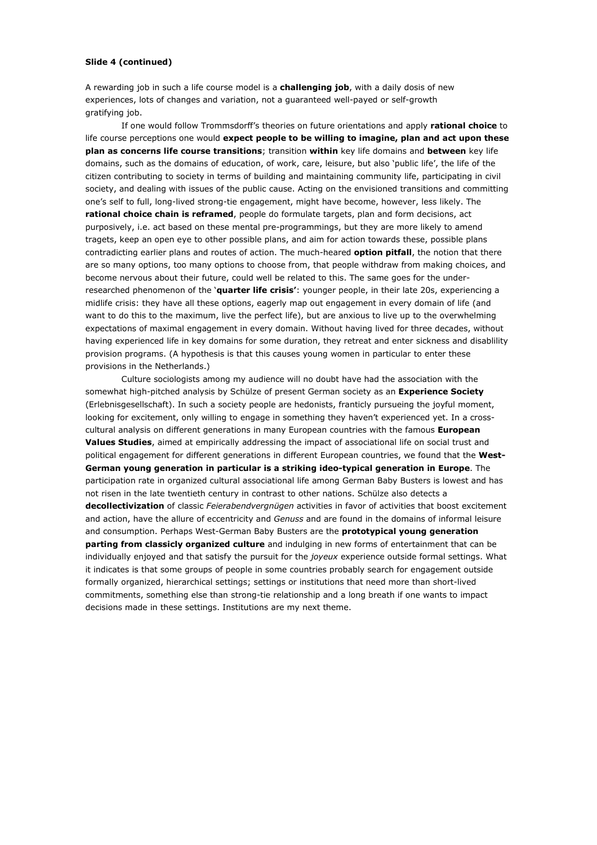## Slide 4 (continued)

A rewarding job in such a life course model is a **challenging job**, with a daily dosis of new experiences, lots of changes and variation, not a guaranteed well-payed or self-growth gratifying job.

If one would follow Trommsdorff's theories on future orientations and apply rational choice to life course perceptions one would expect people to be willing to imagine, plan and act upon these plan as concerns life course transitions; transition within key life domains and between key life domains, such as the domains of education, of work, care, leisure, but also 'public life', the life of the citizen contributing to society in terms of building and maintaining community life, participating in civil society, and dealing with issues of the public cause. Acting on the envisioned transitions and committing one's self to full, long-lived strong-tie engagement, might have become, however, less likely. The rational choice chain is reframed, people do formulate targets, plan and form decisions, act purposively, i.e. act based on these mental pre-programmings, but they are more likely to amend tragets, keep an open eve to other possible plans, and aim for action towards these, possible plans contradicting earlier plans and routes of action. The much-heared **option pitfall**, the notion that there are so many options, too many options to choose from, that people withdraw from making choices, and become nervous about their future, could well be related to this. The same goes for the underresearched phenomenon of the 'quarter life crisis': younger people, in their late 20s, experiencing a midlife crisis: they have all these options, eagerly map out engagement in every domain of life (and want to do this to the maximum, live the perfect life), but are anxious to live up to the overwhelming expectations of maximal engagement in every domain. Without having lived for three decades, without having experienced life in key domains for some duration, they retreat and enter sickness and disablility provision programs. (A hypothesis is that this causes young women in particular to enter these provisions in the Netherlands.)

Culture sociologists among my audience will no doubt have had the association with the somewhat high-pitched analysis by Schülze of present German society as an Experience Society (Erlebnisgesellschaft). In such a society people are hedonists, franticly pursueing the joyful moment, looking for excitement, only willing to engage in something they haven't experienced yet. In a crosscultural analysis on different generations in many European countries with the famous European Values Studies, aimed at empirically addressing the impact of associational life on social trust and political engagement for different generations in different European countries, we found that the West-German young generation in particular is a striking ideo-typical generation in Europe. The participation rate in organized cultural associational life among German Baby Busters is lowest and has not risen in the late twentieth century in contrast to other nations. Schülze also detects a decollectivization of classic Feierabendvergnügen activities in favor of activities that boost excitement and action, have the allure of eccentricity and Genuss and are found in the domains of informal leisure and consumption. Perhaps West-German Baby Busters are the prototypical young generation parting from classicly organized culture and indulging in new forms of entertainment that can be individually enjoyed and that satisfy the pursuit for the joyeux experience outside formal settings. What it indicates is that some groups of people in some countries probably search for engagement outside formally organized, hierarchical settings; settings or institutions that need more than short-lived commitments, something else than strong-tie relationship and a long breath if one wants to impact decisions made in these settings. Institutions are my next theme.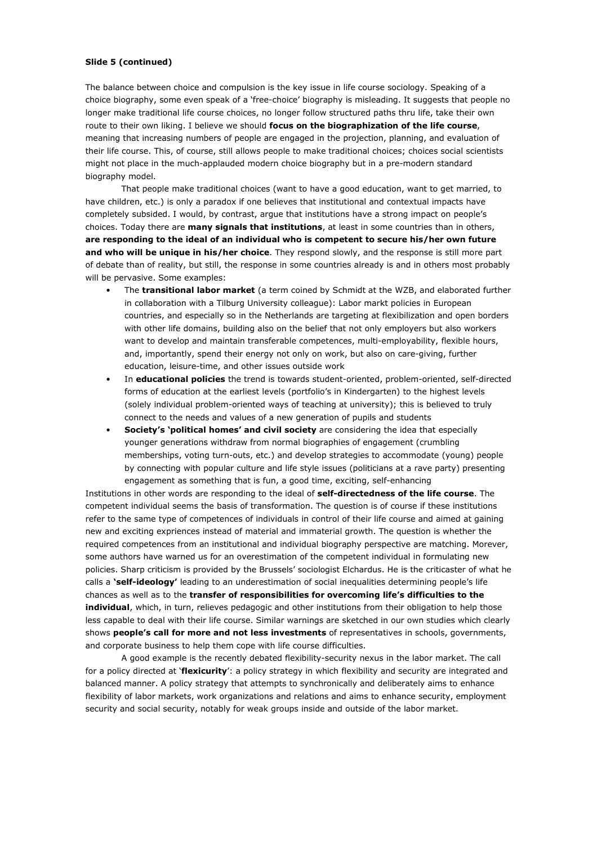# Slide 5 (continued)

The balance between choice and compulsion is the key issue in life course sociology. Speaking of a choice biography, some even speak of a 'free-choice' biography is misleading. It suggests that people no longer make traditional life course choices, no longer follow structured paths thru life, take their own route to their own liking. I believe we should focus on the biographization of the life course, meaning that increasing numbers of people are engaged in the projection, planning, and evaluation of their life course. This, of course, still allows people to make traditional choices; choices social scientists might not place in the much-applauded modern choice biography but in a pre-modern standard biography model.

That people make traditional choices (want to have a good education, want to get married, to have children, etc.) is only a paradox if one believes that institutional and contextual impacts have completely subsided. I would, by contrast, argue that institutions have a strong impact on people's choices. Today there are many signals that institutions, at least in some countries than in others, are responding to the ideal of an individual who is competent to secure his/her own future and who will be unique in his/her choice. They respond slowly, and the response is still more part of debate than of reality, but still, the response in some countries already is and in others most probably will be pervasive. Some examples:

- The transitional labor market (a term coined by Schmidt at the WZB, and elaborated further in collaboration with a Tilburg University colleague): Labor markt policies in European countries, and especially so in the Netherlands are targeting at flexibilization and open borders with other life domains, building also on the belief that not only employers but also workers want to develop and maintain transferable competences, multi-employability, flexible hours, and, importantly, spend their energy not only on work, but also on care-giving, further education, leisure-time, and other issues outside work
- In educational policies the trend is towards student-oriented, problem-oriented, self-directed forms of education at the earliest levels (portfolio's in Kindergarten) to the highest levels (solely individual problem-oriented ways of teaching at university); this is believed to truly connect to the needs and values of a new generation of pupils and students
- Society's 'political homes' and civil society are considering the idea that especially younger generations withdraw from normal biographies of engagement (crumbling memberships, voting turn-outs, etc.) and develop strategies to accommodate (young) people by connecting with popular culture and life style issues (politicians at a rave party) presenting engagement as something that is fun, a good time, exciting, self-enhancing

Institutions in other words are responding to the ideal of self-directedness of the life course. The competent individual seems the basis of transformation. The question is of course if these institutions refer to the same type of competences of individuals in control of their life course and aimed at gaining new and exciting expriences instead of material and immaterial growth. The question is whether the required competences from an institutional and individual biography perspective are matching. Morever, some authors have warned us for an overestimation of the competent individual in formulating new policies. Sharp criticism is provided by the Brussels' sociologist Elchardus. He is the criticaster of what he calls a **'self-ideology'** leading to an underestimation of social inequalities determining people's life chances as well as to the transfer of responsibilities for overcoming life's difficulties to the individual, which, in turn, relieves pedagogic and other institutions from their obligation to help those less capable to deal with their life course. Similar warnings are sketched in our own studies which clearly shows people's call for more and not less investments of representatives in schools, governments, and corporate business to help them cope with life course difficulties.

A good example is the recently debated flexibility-security nexus in the labor market. The call for a policy directed at 'flexicurity': a policy strategy in which flexibility and security are integrated and balanced manner. A policy strategy that attempts to synchronically and deliberately aims to enhance flexibility of labor markets, work organizations and relations and aims to enhance security, employment security and social security, notably for weak groups inside and outside of the labor market.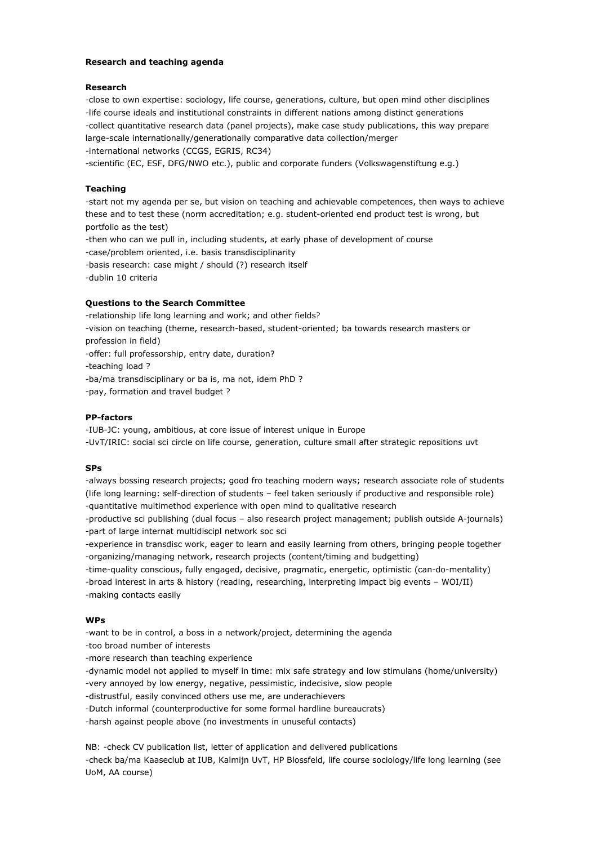# Research and teaching agenda

#### **Research**

-close to own expertise: sociology, life course, generations, culture, but open mind other disciplines -life course ideals and institutional constraints in different nations among distinct generations -collect quantitative research data (panel projects), make case study publications, this way prepare large-scale internationally/generationally comparative data collection/merger -international networks (CCGS, EGRIS, RC34)

-scientific (EC, ESF, DFG/NWO etc.), public and corporate funders (Volkswagenstiftung e.g.)

#### **Teaching**

-start not my agenda per se, but vision on teaching and achievable competences, then ways to achieve these and to test these (norm accreditation; e.g. student-oriented end product test is wrong, but portfolio as the test)

-then who can we pull in, including students, at early phase of development of course

-case/problem oriented, i.e. basis transdisciplinarity

- -basis research: case might / should (?) research itself
- -dublin 10 criteria

#### **Questions to the Search Committee**

-relationship life long learning and work; and other fields?

-vision on teaching (theme, research-based, student-oriented; ba towards research masters or profession in field)

-offer: full professorship, entry date, duration?

-teaching load?

-ba/ma transdisciplinary or ba is, ma not, idem PhD ?

-pay, formation and travel budget?

#### **PP-factors**

-IUB-JC: young, ambitious, at core issue of interest unique in Europe

-UvT/IRIC: social sci circle on life course, generation, culture small after strategic repositions uvt

#### **SPs**

-always bossing research projects; good fro teaching modern ways; research associate role of students (life long learning: self-direction of students - feel taken seriously if productive and responsible role) -quantitative multimethod experience with open mind to qualitative research

-productive sci publishing (dual focus - also research project management; publish outside A-journals) -part of large internat multidiscipl network soc sci

- -experience in transdisc work, eager to learn and easily learning from others, bringing people together -organizing/managing network, research projects (content/timing and budgetting)
- -time-quality conscious, fully engaged, decisive, pragmatic, energetic, optimistic (can-do-mentality)
- -broad interest in arts & history (reading, researching, interpreting impact big events WOI/II) -making contacts easily

# $WPs$

-want to be in control, a boss in a network/project, determining the agenda

-too broad number of interests

-more research than teaching experience

-dynamic model not applied to myself in time: mix safe strategy and low stimulans (home/university) -very annoyed by low energy, negative, pessimistic, indecisive, slow people

-distrustful, easily convinced others use me, are underachievers

-Dutch informal (counterproductive for some formal hardline bureaucrats)

-harsh against people above (no investments in unuseful contacts)

NB: - check CV publication list, letter of application and delivered publications

-check ba/ma Kaaseclub at IUB, Kalmijn UvT, HP Blossfeld, life course sociology/life long learning (see UoM, AA course)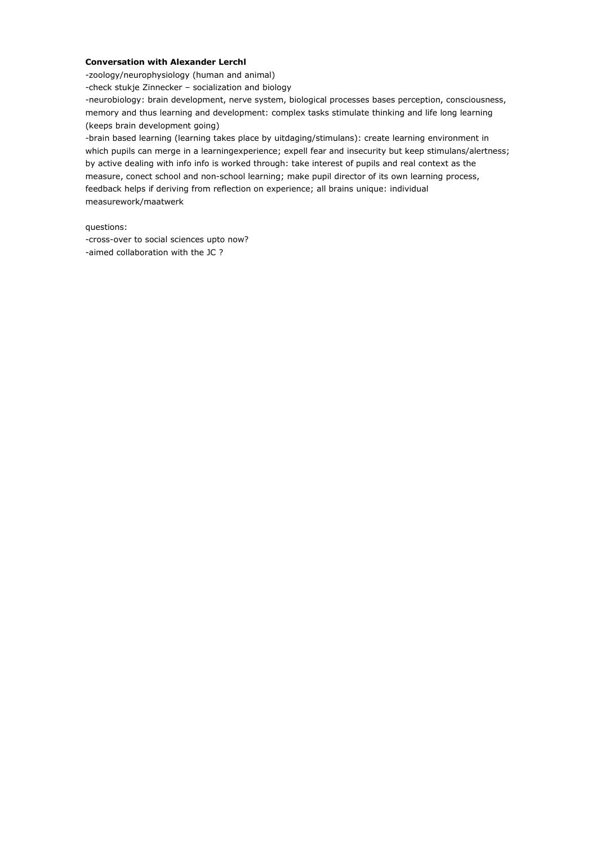# **Conversation with Alexander Lerchl**

-zoology/neurophysiology (human and animal)

-check stukje Zinnecker - socialization and biology

-neurobiology: brain development, nerve system, biological processes bases perception, consciousness, memory and thus learning and development: complex tasks stimulate thinking and life long learning (keeps brain development going)

-brain based learning (learning takes place by uitdaging/stimulans): create learning environment in which pupils can merge in a learningexperience; expell fear and insecurity but keep stimulans/alertness; by active dealing with info info is worked through: take interest of pupils and real context as the measure, conect school and non-school learning; make pupil director of its own learning process, feedback helps if deriving from reflection on experience; all brains unique: individual measurework/maatwerk

questions:

-cross-over to social sciences upto now? -aimed collaboration with the JC?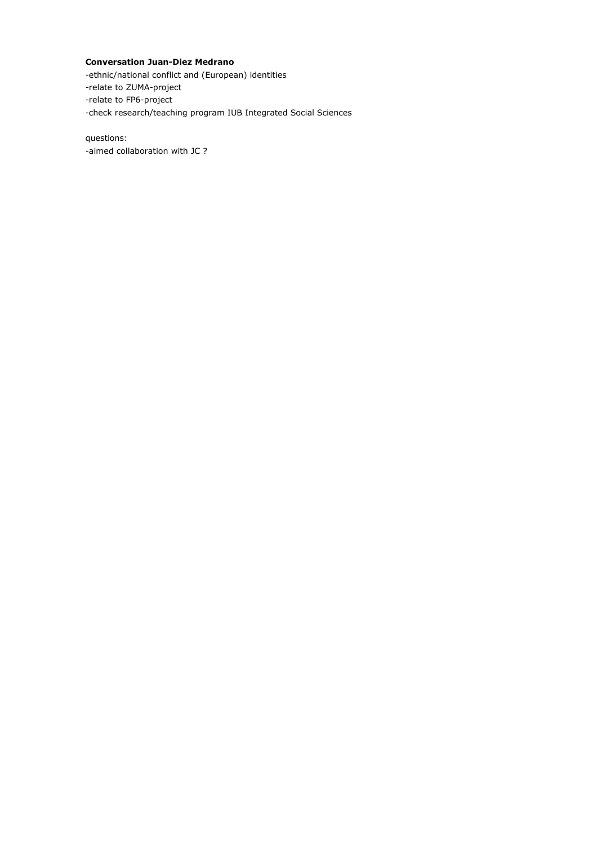# **Conversation Juan-Diez Medrano**

-ethnic/national conflict and (European) identities

-relate to ZUMA-project

-relate to FP6-project

-check research/teaching program IUB Integrated Social Sciences

questions: -aimed collaboration with JC ?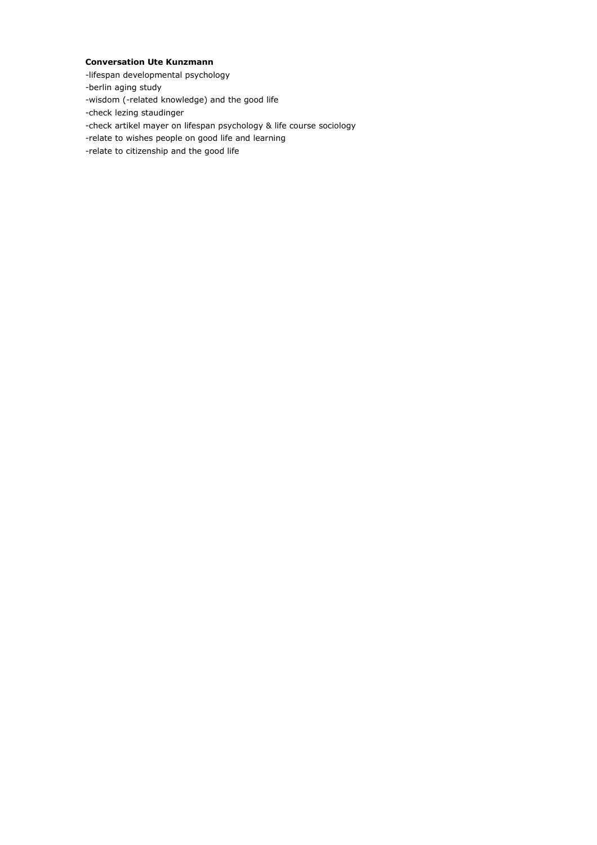# **Conversation Ute Kunzmann**

- -lifespan developmental psychology
- -berlin aging study
- -wisdom (-related knowledge) and the good life
- -check lezing staudinger
- -check artikel mayer on lifespan psychology & life course sociology
- -relate to wishes people on good life and learning
- -relate to citizenship and the good life